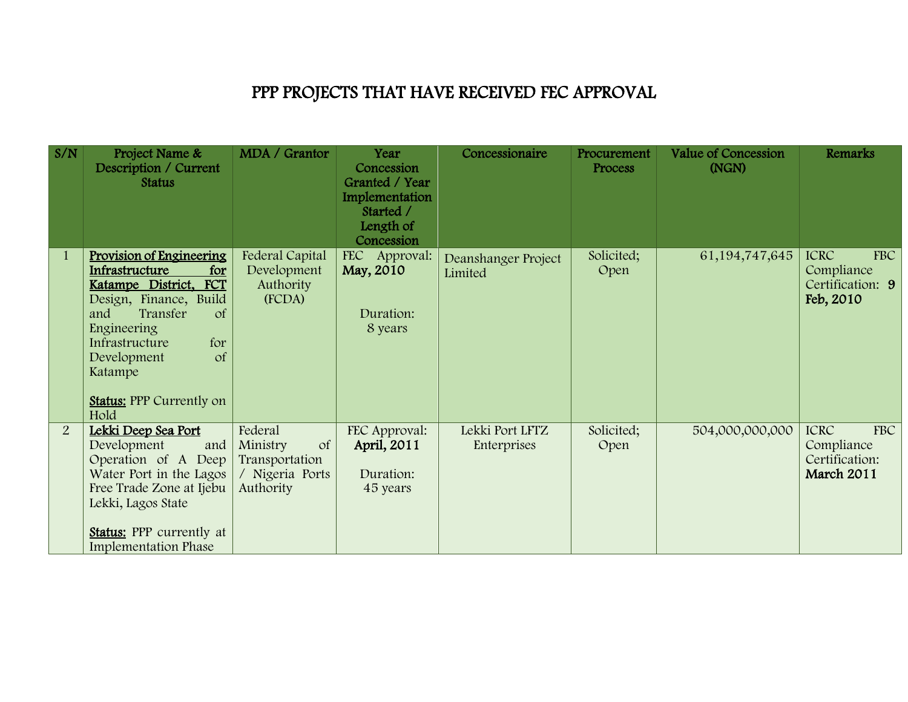## PPP PROJECTS THAT HAVE RECEIVED FEC APPROVAL

| S/N          | Project Name &<br>Description / Current<br><b>Status</b>                                                                                                                                                                                                                        | MDA / Grantor                                                                          | Year<br>Concession<br>Granted / Year<br>Implementation<br>Started /<br>Length of<br>Concession | Concessionaire                 | Procurement<br>Process | <b>Value of Concession</b><br>(NGN) | Remarks                                                           |
|--------------|---------------------------------------------------------------------------------------------------------------------------------------------------------------------------------------------------------------------------------------------------------------------------------|----------------------------------------------------------------------------------------|------------------------------------------------------------------------------------------------|--------------------------------|------------------------|-------------------------------------|-------------------------------------------------------------------|
| $\mathbf{1}$ | <b>Provision of Engineering</b><br>Infrastructure<br>for<br><b>FCT</b><br>Katampe District,<br>Design, Finance, Build<br>Transfer<br>and<br>$\sigma$<br>Engineering<br>for<br>Infrastructure<br>$\sigma$ f<br>Development<br>Katampe<br><b>Status:</b> PPP Currently on<br>Hold | Federal Capital<br>Development<br>Authority<br>(FCDA)                                  | FEC Approval:<br>May, 2010<br>Duration:<br>8 years                                             | Deanshanger Project<br>Limited | Solicited;<br>Open     | 61, 194, 747, 645                   | <b>ICRC</b><br>FBC<br>Compliance<br>Certification: 9<br>Feb, 2010 |
| 2            | Lekki Deep Sea Port<br>Development<br>and<br>Operation of A Deep<br>Water Port in the Lagos<br>Free Trade Zone at Ijebu<br>Lekki, Lagos State<br><b>Status:</b> PPP currently at<br><b>Implementation Phase</b>                                                                 | Federal<br><sub>of</sub><br>Ministry<br>Transportation<br>/ Nigeria Ports<br>Authority | FEC Approval:<br>April, 2011<br>Duration:<br>45 years                                          | Lekki Port LFTZ<br>Enterprises | Solicited;<br>Open     | 504,000,000,000                     | FBC<br><b>ICRC</b><br>Compliance<br>Certification:<br>March 2011  |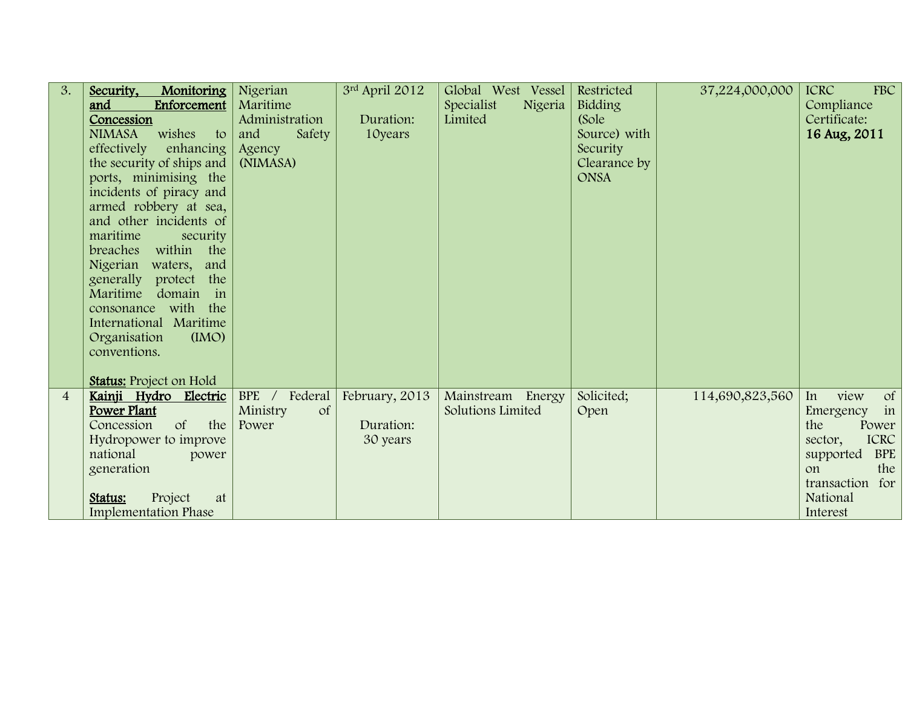| 3.             | Security,<br>Monitoring<br>and<br>Enforcement<br>Concession<br>wishes<br><b>NIMASA</b><br>to<br>effectively<br>enhancing $\vert$<br>the security of ships and<br>ports, minimising the<br>incidents of piracy and<br>armed robbery at sea,<br>and other incidents of<br>maritime<br>security<br>breaches within the<br>Nigerian waters, and<br>generally protect the<br>Maritime<br>domain<br>in<br>consonance with the<br>International Maritime<br>Organisation<br>(MO)<br>conventions.<br><b>Status:</b> Project on Hold | Nigerian<br>Maritime<br>Administration<br>and<br>Safety<br>Agency<br>(NIMASA) | 3rd April 2012<br>Duration:<br>10 years | Global West Vessel<br>Specialist<br>Nigeria<br>Limited | Restricted<br>Bidding<br>(Sole<br>Source) with<br>Security<br>Clearance by<br><b>ONSA</b> | 37,224,000,000  | FBC<br><b>ICRC</b><br>Compliance<br>Certificate:<br>16 Aug, 2011                                                                                                                  |
|----------------|-----------------------------------------------------------------------------------------------------------------------------------------------------------------------------------------------------------------------------------------------------------------------------------------------------------------------------------------------------------------------------------------------------------------------------------------------------------------------------------------------------------------------------|-------------------------------------------------------------------------------|-----------------------------------------|--------------------------------------------------------|-------------------------------------------------------------------------------------------|-----------------|-----------------------------------------------------------------------------------------------------------------------------------------------------------------------------------|
| $\overline{4}$ | Kainji Hydro Electric<br>Power Plant<br>$\sigma f$<br>Concession<br>the<br>Hydropower to improve<br>national<br>power<br>generation<br>Project<br>Status:<br>at<br><b>Implementation Phase</b>                                                                                                                                                                                                                                                                                                                              | BPE / Federal<br>Ministry<br><sub>of</sub><br>Power                           | February, 2013<br>Duration:<br>30 years | Mainstream Energy<br>Solutions Limited                 | Solicited;<br>Open                                                                        | 114,690,823,560 | view<br><sub>of</sub><br>In<br>in<br>Emergency<br>the<br>Power<br><b>ICRC</b><br>sector,<br><b>BPE</b><br>supported<br>the<br>$\alpha$<br>transaction for<br>National<br>Interest |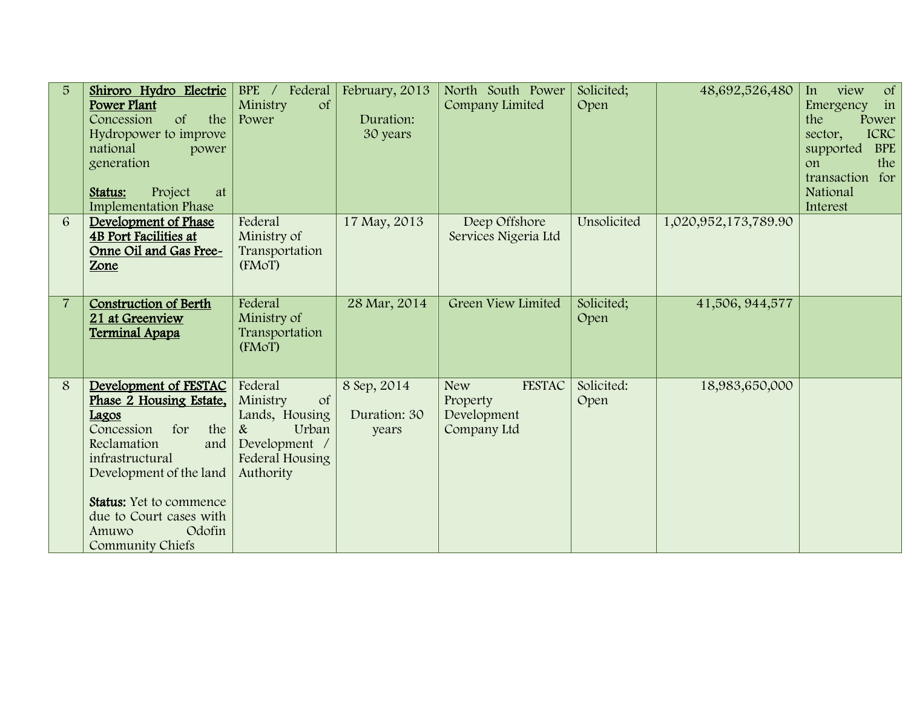| 5 <sup>5</sup> | Shiroro Hydro Electric<br><b>Power Plant</b><br>Concession<br>$\sigma f$<br>the<br>Hydropower to improve<br>national<br>power<br>generation<br>Project<br>Status:<br>at<br><b>Implementation Phase</b>                                                               | BPE / Federal<br>$\sigma f$<br>Ministry<br>Power                                                                      | February, 2013<br>Duration:<br>30 years | North South Power<br>Company Limited                                  | Solicited;<br>Open | 48,692,526,480       | <sub>of</sub><br>In<br>view<br>Emergency<br>in<br>the<br>Power<br><b>ICRC</b><br>sector,<br>supported<br><b>BPE</b><br>the<br>on<br>transaction for<br>National<br>Interest |
|----------------|----------------------------------------------------------------------------------------------------------------------------------------------------------------------------------------------------------------------------------------------------------------------|-----------------------------------------------------------------------------------------------------------------------|-----------------------------------------|-----------------------------------------------------------------------|--------------------|----------------------|-----------------------------------------------------------------------------------------------------------------------------------------------------------------------------|
| 6              | Development of Phase<br><b>4B Port Facilities at</b><br>Onne Oil and Gas Free-<br>Zone                                                                                                                                                                               | Federal<br>Ministry of<br>Transportation<br>(FMoT)                                                                    | 17 May, 2013                            | Deep Offshore<br>Services Nigeria Ltd                                 | Unsolicited        | 1,020,952,173,789.90 |                                                                                                                                                                             |
| $\overline{7}$ | <b>Construction of Berth</b><br>21 at Greenview<br><b>Terminal Apapa</b>                                                                                                                                                                                             | Federal<br>Ministry of<br>Transportation<br>(FMoT)                                                                    | 28 Mar, 2014                            | Green View Limited                                                    | Solicited;<br>Open | 41,506, 944,577      |                                                                                                                                                                             |
| 8              | Development of FESTAC<br>Phase 2 Housing Estate,<br>Lagos<br>Concession<br>for<br>the<br>Reclamation<br>and<br>infrastructural<br>Development of the land<br><b>Status:</b> Yet to commence<br>due to Court cases with<br>Odofin<br>Amuwo<br><b>Community Chiefs</b> | Federal<br><sub>of</sub><br>Ministry<br>Lands, Housing<br>Urban<br>&<br>Development /<br>Federal Housing<br>Authority | 8 Sep, 2014<br>Duration: 30<br>years    | <b>FESTAC</b><br><b>New</b><br>Property<br>Development<br>Company Ltd | Solicited:<br>Open | 18,983,650,000       |                                                                                                                                                                             |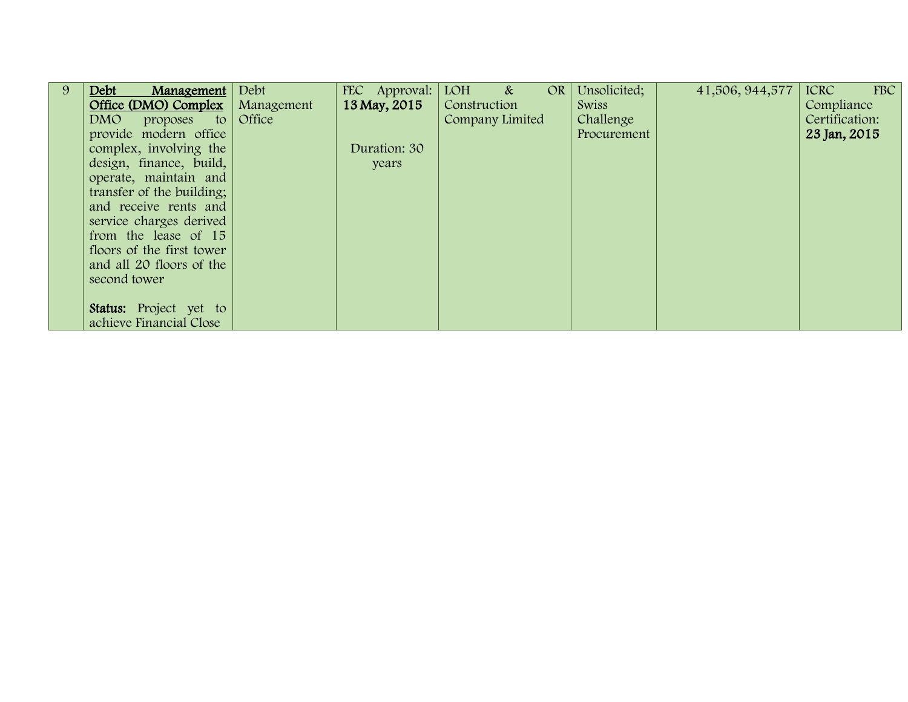| 9 | Debt<br><b>Management</b>   Debt         |           | FEC Approval: | $LOH \&$        | OR | Unsolicited; | 41,506, 944,577 | <b>ICRC</b><br>FBC |
|---|------------------------------------------|-----------|---------------|-----------------|----|--------------|-----------------|--------------------|
|   | <b>Office (DMO) Complex</b>   Management |           | 13 May, 2015  | Construction    |    | <b>Swiss</b> |                 | Compliance         |
|   | DMO<br>proposes                          | to Office |               | Company Limited |    | Challenge    |                 | Certification:     |
|   | provide modern office                    |           |               |                 |    | Procurement  |                 | 23 Jan, 2015       |
|   | complex, involving the                   |           | Duration: 30  |                 |    |              |                 |                    |
|   | design, finance, build,                  |           | years         |                 |    |              |                 |                    |
|   | operate, maintain and                    |           |               |                 |    |              |                 |                    |
|   | transfer of the building;                |           |               |                 |    |              |                 |                    |
|   | and receive rents and                    |           |               |                 |    |              |                 |                    |
|   | service charges derived                  |           |               |                 |    |              |                 |                    |
|   | from the lease of 15                     |           |               |                 |    |              |                 |                    |
|   | floors of the first tower                |           |               |                 |    |              |                 |                    |
|   | and all 20 floors of the                 |           |               |                 |    |              |                 |                    |
|   | second tower                             |           |               |                 |    |              |                 |                    |
|   |                                          |           |               |                 |    |              |                 |                    |
|   | <b>Status:</b> Project yet to            |           |               |                 |    |              |                 |                    |
|   | achieve Financial Close                  |           |               |                 |    |              |                 |                    |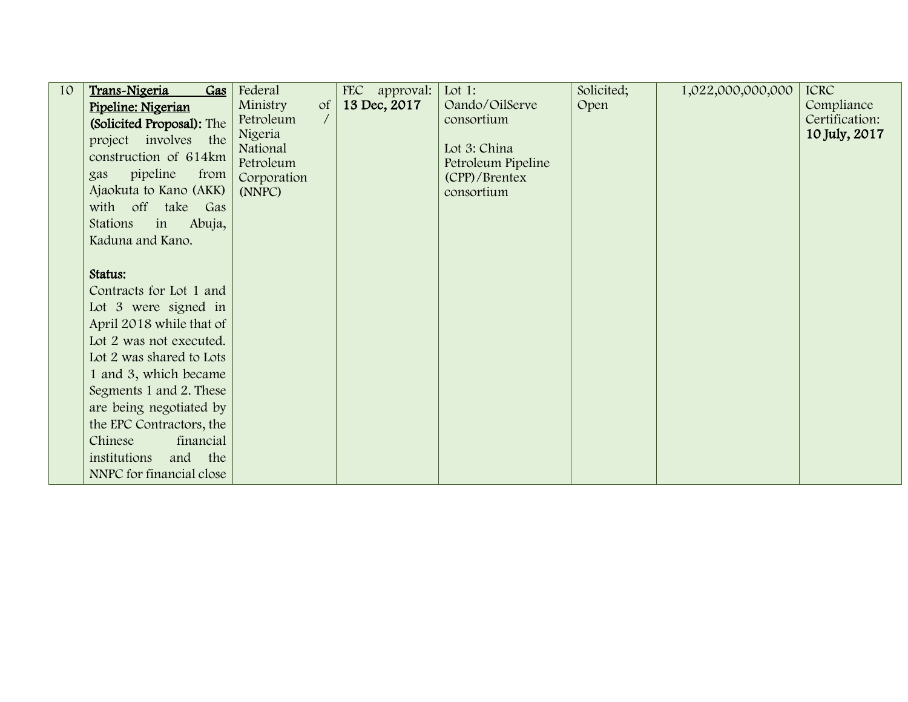| 10 | Trans-Nigeria<br>Gas       | Federal               |            | <b>FEC</b><br>approval: | Lot 1:                             | Solicited; | 1,022,000,000,000 | <b>ICRC</b>    |
|----|----------------------------|-----------------------|------------|-------------------------|------------------------------------|------------|-------------------|----------------|
|    | Pipeline: Nigerian         | Ministry              | $\sigma f$ | 13 Dec, 2017            | Oando/OilServe                     | Open       |                   | Compliance     |
|    | (Solicited Proposal): The  | Petroleum             | $\sqrt{2}$ |                         | consortium                         |            |                   | Certification: |
|    | project involves the       | Nigeria               |            |                         |                                    |            |                   | 10 July, 2017  |
|    | construction of 614km      | National<br>Petroleum |            |                         | Lot 3: China<br>Petroleum Pipeline |            |                   |                |
|    | pipeline<br>from<br>gas    | Corporation           |            |                         | (CPP)/Brentex                      |            |                   |                |
|    | Ajaokuta to Kano (AKK)     | (NNPC)                |            |                         | consortium                         |            |                   |                |
|    | with off take Gas          |                       |            |                         |                                    |            |                   |                |
|    | Stations<br>in<br>Abuja,   |                       |            |                         |                                    |            |                   |                |
|    | Kaduna and Kano.           |                       |            |                         |                                    |            |                   |                |
|    |                            |                       |            |                         |                                    |            |                   |                |
|    | Status:                    |                       |            |                         |                                    |            |                   |                |
|    | Contracts for Lot 1 and    |                       |            |                         |                                    |            |                   |                |
|    | Lot 3 were signed in       |                       |            |                         |                                    |            |                   |                |
|    | April 2018 while that of   |                       |            |                         |                                    |            |                   |                |
|    | Lot 2 was not executed.    |                       |            |                         |                                    |            |                   |                |
|    | Lot 2 was shared to Lots   |                       |            |                         |                                    |            |                   |                |
|    | 1 and 3, which became      |                       |            |                         |                                    |            |                   |                |
|    | Segments 1 and 2. These    |                       |            |                         |                                    |            |                   |                |
|    | are being negotiated by    |                       |            |                         |                                    |            |                   |                |
|    | the EPC Contractors, the   |                       |            |                         |                                    |            |                   |                |
|    | Chinese<br>financial       |                       |            |                         |                                    |            |                   |                |
|    | institutions<br>and<br>the |                       |            |                         |                                    |            |                   |                |
|    | NNPC for financial close   |                       |            |                         |                                    |            |                   |                |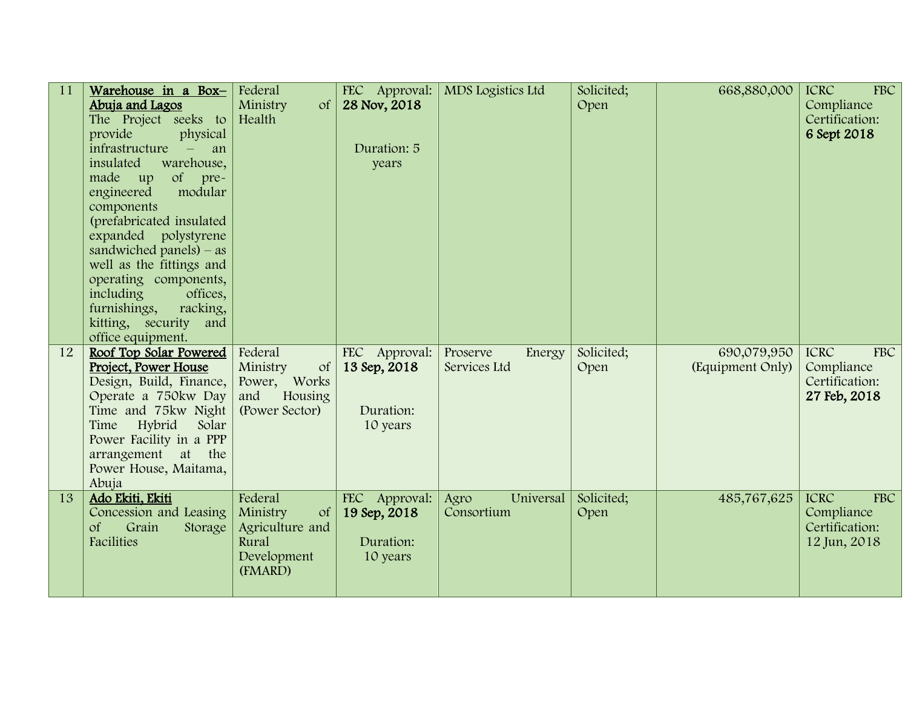| 11 | Warehouse in a Box-<br>Abuja and Lagos<br>The Project seeks to<br>provide<br>physical<br>infrastructure<br>an<br>$\overline{\phantom{a}}$<br>insulated<br>warehouse,<br>of pre-<br>made up<br>modular<br>engineered<br>components<br>(prefabricated insulated<br>expanded polystyrene<br>sandwiched panels) $-$ as<br>well as the fittings and<br>operating components,<br>including<br>offices,<br>furnishings,<br>racking, | Federal<br>Ministry<br>$\sigma f$<br>Health                                              | FEC Approval:<br>28 Nov, 2018<br>Duration: 5<br>years  | MDS Logistics Ltd                  | Solicited;<br>Open | 668,880,000                     | FBC<br><b>ICRC</b><br>Compliance<br>Certification:<br>6 Sept 2018  |
|----|------------------------------------------------------------------------------------------------------------------------------------------------------------------------------------------------------------------------------------------------------------------------------------------------------------------------------------------------------------------------------------------------------------------------------|------------------------------------------------------------------------------------------|--------------------------------------------------------|------------------------------------|--------------------|---------------------------------|--------------------------------------------------------------------|
|    | kitting, security and<br>office equipment.                                                                                                                                                                                                                                                                                                                                                                                   |                                                                                          |                                                        |                                    |                    |                                 |                                                                    |
| 12 | Roof Top Solar Powered<br>Project, Power House<br>Design, Build, Finance,<br>Operate a 750kw Day<br>Time and 75kw Night<br>Hybrid<br>Time<br>Solar<br>Power Facility in a PPP<br>arrangement at the<br>Power House, Maitama,<br>Abuja                                                                                                                                                                                        | Federal<br>Ministry<br><sub>of</sub><br>Power, Works<br>and<br>Housing<br>(Power Sector) | FEC Approval:<br>13 Sep, 2018<br>Duration:<br>10 years | Proserve<br>Energy<br>Services Ltd | Solicited;<br>Open | 690,079,950<br>(Equipment Only) | FBC<br><b>ICRC</b><br>Compliance<br>Certification:<br>27 Feb, 2018 |
| 13 | Ado Ekiti, Ekiti<br>Concession and Leasing<br>$\sigma f$<br>Grain<br>Storage<br>Facilities                                                                                                                                                                                                                                                                                                                                   | Federal<br>Ministry<br>$\sigma$ f<br>Agriculture and<br>Rural<br>Development<br>(FMARD)  | FEC Approval:<br>19 Sep, 2018<br>Duration:<br>10 years | Universal<br>Agro<br>Consortium    | Solicited;<br>Open | 485,767,625                     | FBC<br><b>ICRC</b><br>Compliance<br>Certification:<br>12 Jun, 2018 |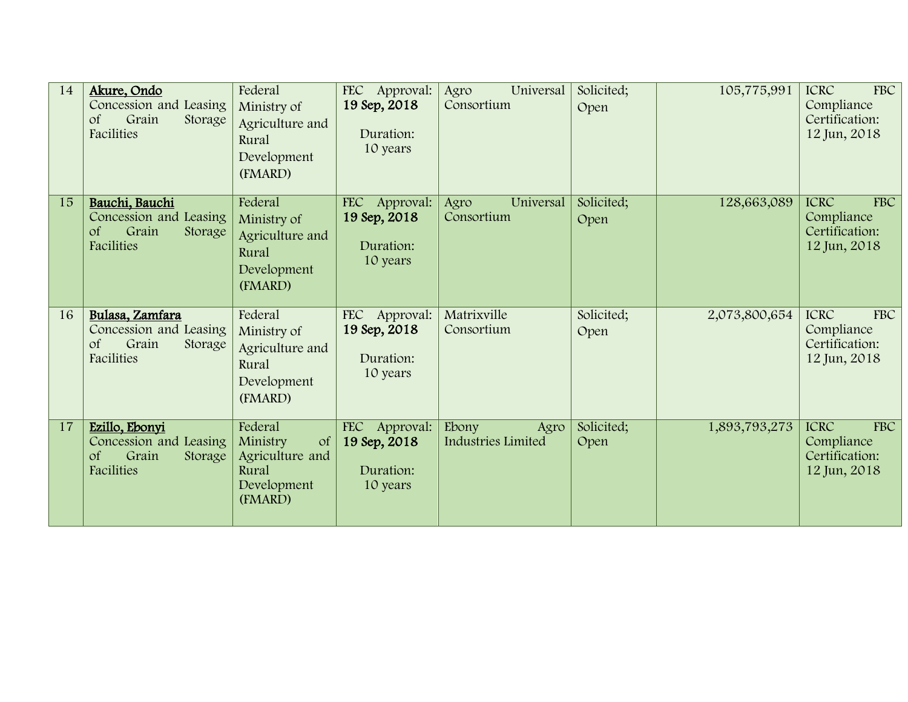| 14 | Akure, Ondo<br>Concession and Leasing<br>Grain<br>$\sigma f$<br>Storage<br>Facilities        | Federal<br>Ministry of<br>Agriculture and<br>Rural<br>Development<br>(FMARD)            | FEC Approval:<br>19 Sep, 2018<br>Duration:<br>10 years           | Universal<br>Agro<br>Consortium     | Solicited;<br>Open | 105,775,991   | <b>FBC</b><br><b>ICRC</b><br>Compliance<br>Certification:<br>12 Jun, 2018 |
|----|----------------------------------------------------------------------------------------------|-----------------------------------------------------------------------------------------|------------------------------------------------------------------|-------------------------------------|--------------------|---------------|---------------------------------------------------------------------------|
| 15 | Bauchi, Bauchi<br>Concession and Leasing<br>Grain<br>$\sigma f$<br>Storage<br>Facilities     | Federal<br>Ministry of<br>Agriculture and<br>Rural<br>Development<br>(FMARD)            | <b>FEC</b><br>Approval:<br>19 Sep, 2018<br>Duration:<br>10 years | Universal<br>Agro<br>Consortium     | Solicited;<br>Open | 128,663,089   | <b>ICRC</b><br><b>FBC</b><br>Compliance<br>Certification:<br>12 Jun, 2018 |
| 16 | Bulasa, Zamfara<br>Concession and Leasing<br>Grain<br><sub>of</sub><br>Storage<br>Facilities | Federal<br>Ministry of<br>Agriculture and<br>Rural<br>Development<br>(FMARD)            | FEC Approval:<br>19 Sep, 2018<br>Duration:<br>10 years           | Matrixville<br>Consortium           | Solicited;<br>Open | 2,073,800,654 | <b>ICRC</b><br><b>FBC</b><br>Compliance<br>Certification:<br>12 Jun, 2018 |
| 17 | Ezillo, Ebonyi<br>Concession and Leasing<br>Grain<br>$\sigma f$<br>Storage<br>Facilities     | Federal<br>Ministry<br>$\sigma$ f<br>Agriculture and<br>Rural<br>Development<br>(FMARD) | FEC Approval:<br>19 Sep, 2018<br>Duration:<br>10 years           | Ebony<br>Agro<br>Industries Limited | Solicited;<br>Open | 1,893,793,273 | <b>FBC</b><br><b>ICRC</b><br>Compliance<br>Certification:<br>12 Jun, 2018 |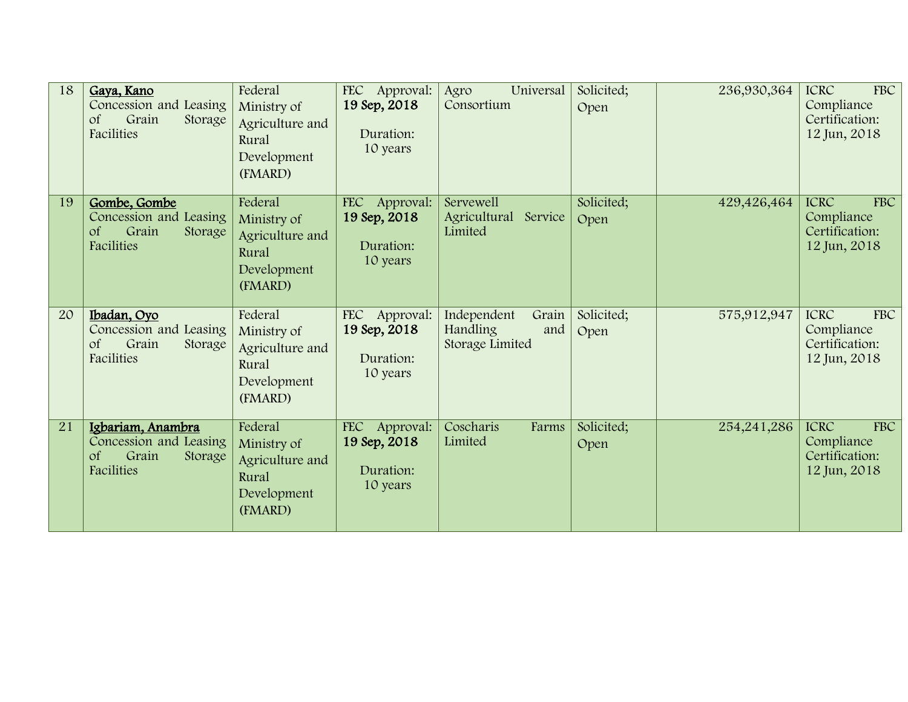| 18 | Gaya, Kano<br>Concession and Leasing<br>Grain<br><sub>of</sub><br>Storage<br>Facilities            | Federal<br>Ministry of<br>Agriculture and<br>Rural<br>Development<br>(FMARD) | FEC Approval:<br>19 Sep, 2018<br>Duration:<br>10 years           | Universal<br>Agro<br>Consortium                                   | Solicited;<br>Open | 236,930,364 | <b>ICRC</b><br><b>FBC</b><br>Compliance<br>Certification:<br>12 Jun, 2018 |
|----|----------------------------------------------------------------------------------------------------|------------------------------------------------------------------------------|------------------------------------------------------------------|-------------------------------------------------------------------|--------------------|-------------|---------------------------------------------------------------------------|
| 19 | Gombe, Gombe<br>Concession and Leasing<br>Grain<br><sub>of</sub><br>Storage<br><b>Facilities</b>   | Federal<br>Ministry of<br>Agriculture and<br>Rural<br>Development<br>(FMARD) | <b>FEC</b><br>Approval:<br>19 Sep, 2018<br>Duration:<br>10 years | <b>Servewell</b><br>Agricultural<br>Service<br>Limited            | Solicited;<br>Open | 429,426,464 | <b>FBC</b><br><b>ICRC</b><br>Compliance<br>Certification:<br>12 Jun, 2018 |
| 20 | Ibadan, Oyo<br>Concession and Leasing<br>Grain<br>$\sigma f$<br>Storage<br><b>Facilities</b>       | Federal<br>Ministry of<br>Agriculture and<br>Rural<br>Development<br>(FMARD) | FEC Approval:<br>19 Sep, 2018<br>Duration:<br>10 years           | Grain<br>Independent<br><b>Handling</b><br>and<br>Storage Limited | Solicited;<br>Open | 575,912,947 | <b>ICRC</b><br><b>FBC</b><br>Compliance<br>Certification:<br>12 Jun, 2018 |
| 21 | Igbariam, Anambra<br>Concession and Leasing<br>Grain<br>$\sigma$ f<br>Storage<br><b>Facilities</b> | Federal<br>Ministry of<br>Agriculture and<br>Rural<br>Development<br>(FMARD) | FEC Approval:<br>19 Sep, 2018<br>Duration:<br>10 years           | Coscharis<br>Farms<br>Limited                                     | Solicited;<br>Open | 254,241,286 | <b>ICRC</b><br><b>FBC</b><br>Compliance<br>Certification:<br>12 Jun, 2018 |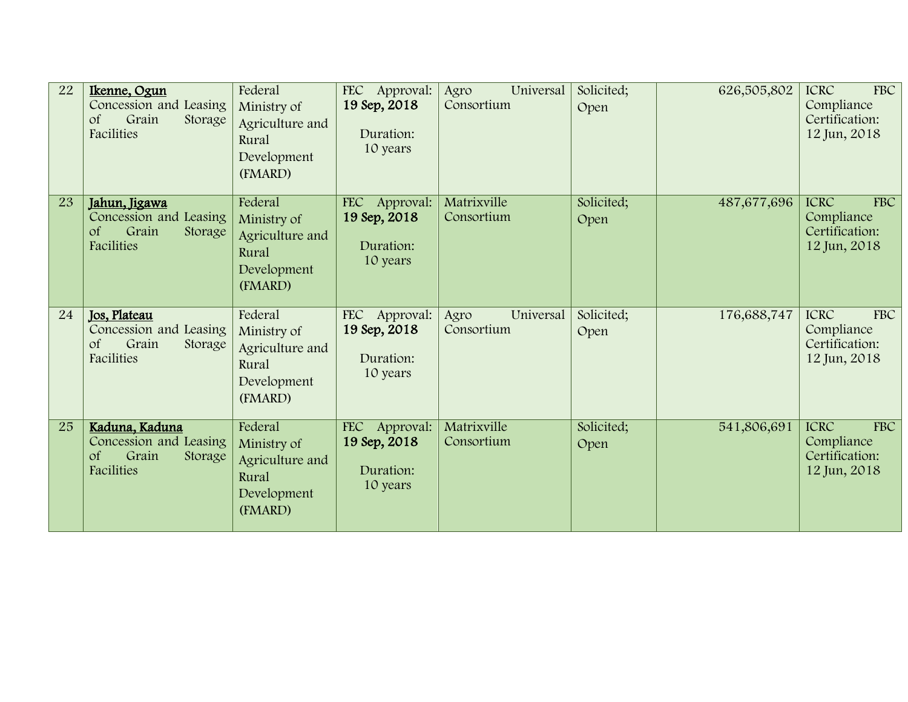| 22 | Ikenne, Ogun<br>Concession and Leasing<br>Grain<br><sub>of</sub><br>Storage<br>Facilities         | Federal<br>Ministry of<br>Agriculture and<br>Rural<br>Development<br>(FMARD) | FEC Approval:<br>19 Sep, 2018<br>Duration:<br>10 years           | Universal<br>Agro<br>Consortium | Solicited;<br>Open | 626,505,802 | <b>ICRC</b><br><b>FBC</b><br>Compliance<br>Certification:<br>12 Jun, 2018 |
|----|---------------------------------------------------------------------------------------------------|------------------------------------------------------------------------------|------------------------------------------------------------------|---------------------------------|--------------------|-------------|---------------------------------------------------------------------------|
| 23 | Jahun, Jigawa<br>Concession and Leasing<br>Grain<br><sub>of</sub><br>Storage<br><b>Facilities</b> | Federal<br>Ministry of<br>Agriculture and<br>Rural<br>Development<br>(FMARD) | <b>FEC</b><br>Approval:<br>19 Sep, 2018<br>Duration:<br>10 years | Matrixville<br>Consortium       | Solicited;<br>Open | 487,677,696 | <b>FBC</b><br><b>ICRC</b><br>Compliance<br>Certification:<br>12 Jun, 2018 |
| 24 | Jos, Plateau<br>Concession and Leasing<br>Grain<br>$\sigma f$<br>Storage<br><b>Facilities</b>     | Federal<br>Ministry of<br>Agriculture and<br>Rural<br>Development<br>(FMARD) | FEC Approval:<br>19 Sep, 2018<br>Duration:<br>10 years           | Universal<br>Agro<br>Consortium | Solicited;<br>Open | 176,688,747 | <b>ICRC</b><br><b>FBC</b><br>Compliance<br>Certification:<br>12 Jun, 2018 |
| 25 | Kaduna, Kaduna<br>Concession and Leasing<br>Grain<br>$\sigma$ f<br>Storage<br><b>Facilities</b>   | Federal<br>Ministry of<br>Agriculture and<br>Rural<br>Development<br>(FMARD) | FEC Approval:<br>19 Sep, 2018<br>Duration:<br>10 years           | Matrixville<br>Consortium       | Solicited;<br>Open | 541,806,691 | <b>ICRC</b><br><b>FBC</b><br>Compliance<br>Certification:<br>12 Jun, 2018 |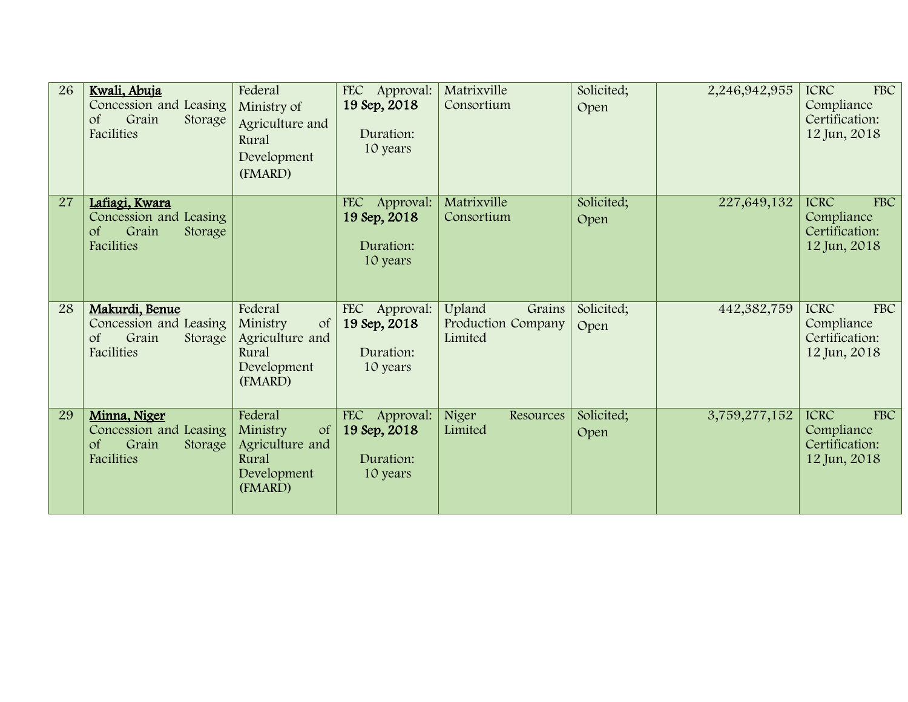| 26 | Kwali, Abuja<br>Concession and Leasing<br>$\sigma f$<br>Grain<br>Storage<br>Facilities             | Federal<br>Ministry of<br>Agriculture and<br>Rural<br>Development<br>(FMARD)               | FEC Approval:<br>19 Sep, 2018<br>Duration:<br>10 years           | Matrixville<br>Consortium                         | Solicited;<br>Open | 2,246,942,955 | <b>FBC</b><br><b>ICRC</b><br>Compliance<br>Certification:<br>12 Jun, 2018 |
|----|----------------------------------------------------------------------------------------------------|--------------------------------------------------------------------------------------------|------------------------------------------------------------------|---------------------------------------------------|--------------------|---------------|---------------------------------------------------------------------------|
| 27 | Lafiagi, Kwara<br>Concession and Leasing<br><sub>of</sub><br>Grain<br>Storage<br><b>Facilities</b> |                                                                                            | <b>FEC</b><br>Approval:<br>19 Sep, 2018<br>Duration:<br>10 years | Matrixville<br>Consortium                         | Solicited;<br>Open | 227,649,132   | <b>FBC</b><br><b>ICRC</b><br>Compliance<br>Certification:<br>12 Jun, 2018 |
| 28 | Makurdi, Benue<br>Concession and Leasing<br>Grain<br><sub>of</sub><br>Storage<br>Facilities        | Federal<br>$\sigma f$<br>Ministry<br>Agriculture and<br>Rural<br>Development<br>(FMARD)    | FEC Approval:<br>19 Sep, 2018<br>Duration:<br>10 years           | Upland<br>Grains<br>Production Company<br>Limited | Solicited;<br>Open | 442,382,759   | <b>ICRC</b><br><b>FBC</b><br>Compliance<br>Certification:<br>12 Jun, 2018 |
| 29 | Minna, Niger<br>Concession and Leasing<br>Grain<br>$\sigma f$<br>Storage<br><b>Facilities</b>      | Federal<br><sub>of</sub><br>Ministry<br>Agriculture and<br>Rural<br>Development<br>(FMARD) | <b>FEC</b><br>Approval:<br>19 Sep, 2018<br>Duration:<br>10 years | Niger<br>Resources<br>Limited                     | Solicited;<br>Open | 3,759,277,152 | <b>FBC</b><br><b>ICRC</b><br>Compliance<br>Certification:<br>12 Jun, 2018 |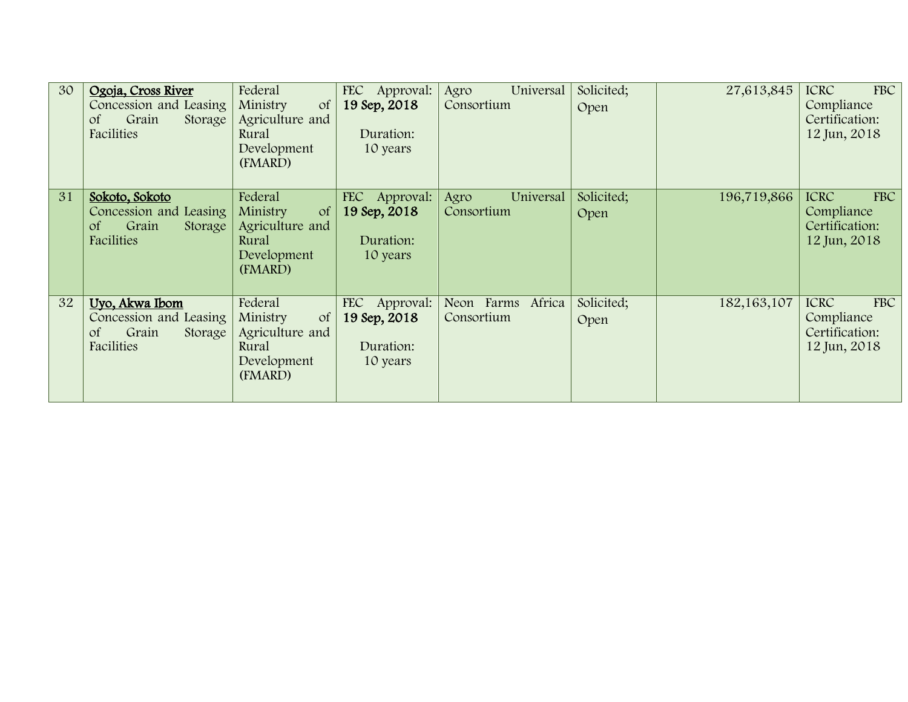| 30 | Ogoja, Cross River                               | Federal                                      | <b>FEC</b><br>Approval: | Universal<br>Agro | Solicited; | 27,613,845    | FBC<br><b>ICRC</b>           |
|----|--------------------------------------------------|----------------------------------------------|-------------------------|-------------------|------------|---------------|------------------------------|
|    | Concession and Leasing<br>Grain<br><sub>of</sub> | Ministry<br><sub>of</sub><br>Agriculture and | 19 Sep, 2018            | Consortium        | Open       |               | Compliance<br>Certification: |
|    | Storage<br>Facilities                            | Rural                                        | Duration:               |                   |            |               | 12 Jun, 2018                 |
|    |                                                  | Development                                  | 10 years                |                   |            |               |                              |
|    |                                                  | (FMARD)                                      |                         |                   |            |               |                              |
|    |                                                  |                                              |                         |                   |            |               |                              |
| 31 | Sokoto, Sokoto                                   | Federal                                      | FEC Approval:           | Universal<br>Agro | Solicited; | 196,719,866   | FBC<br><b>ICRC</b>           |
|    | Concession and Leasing                           | Ministry<br><sub>of</sub>                    | 19 Sep, 2018            | Consortium        | Open       |               | Compliance                   |
|    | Grain<br><sub>of</sub><br>Storage<br>Facilities  | Agriculture and                              |                         |                   |            |               | Certification:               |
|    |                                                  | Rural<br>Development                         | Duration:<br>10 years   |                   |            |               | 12 Jun, 2018                 |
|    |                                                  | (FMARD)                                      |                         |                   |            |               |                              |
|    |                                                  |                                              |                         |                   |            |               |                              |
| 32 | Uyo, Akwa Ibom                                   | Federal                                      | FEC Approval:           | Neon Farms Africa | Solicited; | 182, 163, 107 | <b>ICRC</b><br>FBC           |
|    | Concession and Leasing                           | Ministry<br><sub>of</sub>                    | 19 Sep, 2018            | Consortium        | Open       |               | Compliance                   |
|    | Grain<br><sub>of</sub><br>Storage                | Agriculture and                              |                         |                   |            |               | Certification:               |
|    | Facilities                                       | Rural                                        | Duration:               |                   |            |               | 12 Jun, 2018                 |
|    |                                                  | Development                                  | 10 years                |                   |            |               |                              |
|    |                                                  | (FMARD)                                      |                         |                   |            |               |                              |
|    |                                                  |                                              |                         |                   |            |               |                              |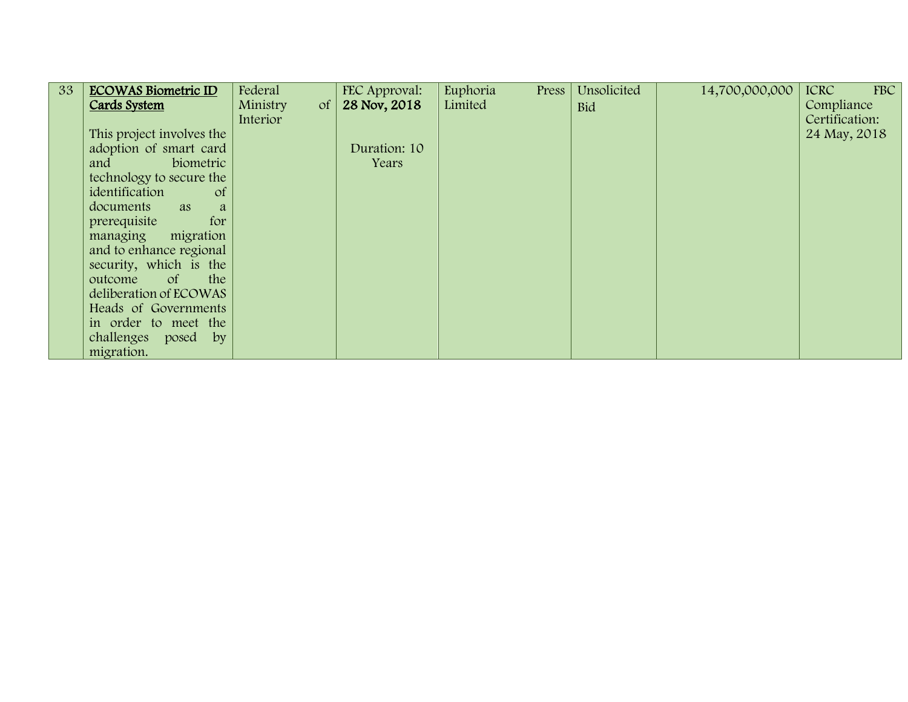| 33 | <b>ECOWAS Biometric ID</b>      | Federal                | FEC Approval: | Euphoria<br>Press | Unsolicited | 14,700,000,000 | FBC<br><b>ICRC</b> |
|----|---------------------------------|------------------------|---------------|-------------------|-------------|----------------|--------------------|
|    | Cards System                    | Ministry<br>$\sigma f$ | 28 Nov, 2018  | Limited           | <b>Bid</b>  |                | Compliance         |
|    |                                 | Interior               |               |                   |             |                | Certification:     |
|    | This project involves the       |                        |               |                   |             |                | 24 May, 2018       |
|    | adoption of smart card          |                        | Duration: 10  |                   |             |                |                    |
|    | biometric<br>and                |                        | Years         |                   |             |                |                    |
|    | technology to secure the        |                        |               |                   |             |                |                    |
|    | identification<br><sub>of</sub> |                        |               |                   |             |                |                    |
|    | documents<br><b>as</b><br>a     |                        |               |                   |             |                |                    |
|    | for<br>prerequisite             |                        |               |                   |             |                |                    |
|    | migration<br>managing           |                        |               |                   |             |                |                    |
|    | and to enhance regional         |                        |               |                   |             |                |                    |
|    | security, which is the          |                        |               |                   |             |                |                    |
|    | outcome<br>the<br>$\circ$ f     |                        |               |                   |             |                |                    |
|    | deliberation of ECOWAS          |                        |               |                   |             |                |                    |
|    | Heads of Governments            |                        |               |                   |             |                |                    |
|    | in order to meet the            |                        |               |                   |             |                |                    |
|    | challenges posed by             |                        |               |                   |             |                |                    |
|    | migration.                      |                        |               |                   |             |                |                    |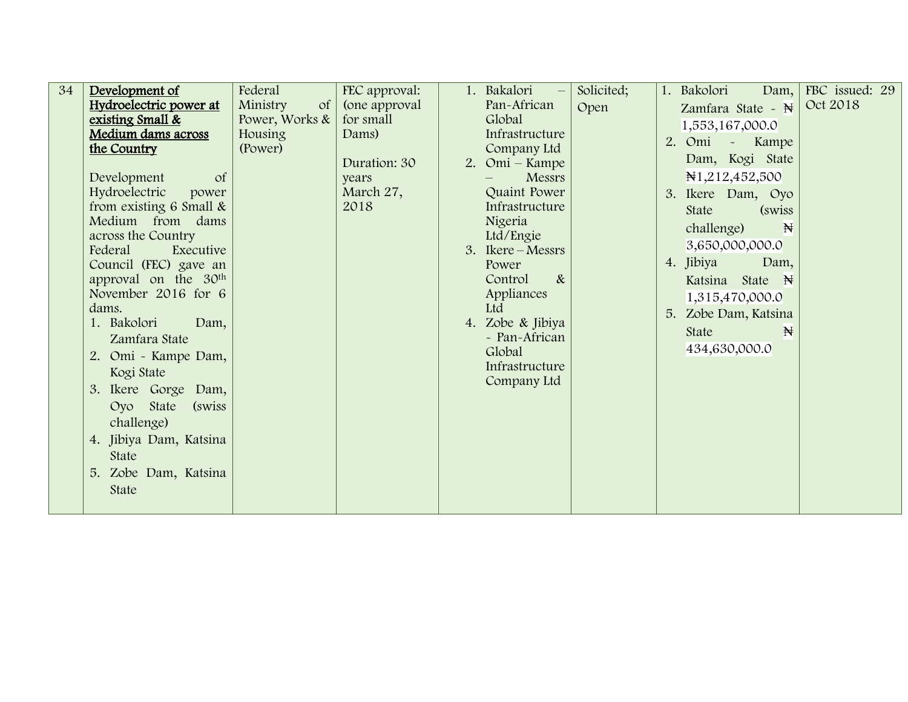| 34 | Development of                   | Federal                     | FEC approval: | 1. Bakalori –     | Solicited; | 1. Bakolori<br>Dam, $\vert$  | FBC issued: 29 |
|----|----------------------------------|-----------------------------|---------------|-------------------|------------|------------------------------|----------------|
|    | Hydroelectric power at           | Ministry<br>of <sub>l</sub> | (one approval | Pan-African       | Open       | Zamfara State - $\mathbb{N}$ | Oct 2018       |
|    | existing Small &                 | Power, Works &              | for small     | Global            |            | 1,553,167,000.0              |                |
|    | Medium dams across               | Housing                     | Dams)         | Infrastructure    |            | 2. Omi                       |                |
|    | the Country                      | (Power)                     |               | Company Ltd       |            | $\sim$<br>Kampe              |                |
|    |                                  |                             | Duration: 30  | 2. Omi – Kampe    |            | Dam, Kogi State              |                |
|    | Development<br><sub>of</sub>     |                             | years         | Messrs            |            | N <sub>1</sub> ,212,452,500  |                |
|    | Hydroelectric<br>power           |                             | March 27,     | Quaint Power      |            | 3. Ikere Dam, Oyo            |                |
|    | from existing 6 Small &          |                             | 2018          | Infrastructure    |            | <b>State</b><br>(swiss)      |                |
|    | Medium from dams                 |                             |               | Nigeria           |            | $\mathbb{H}$<br>challenge)   |                |
|    | across the Country               |                             |               | Ltd/Engie         |            |                              |                |
|    | Federal<br>Executive             |                             |               | 3. Ikere – Messrs |            | 3,650,000,000.0              |                |
|    | Council (FEC) gave an            |                             |               | Power             |            | 4. Jibiya<br>Dam,            |                |
|    | approval on the 30 <sup>th</sup> |                             |               | $\&$<br>Control   |            | Katsina State N              |                |
|    | November 2016 for 6              |                             |               | Appliances        |            | 1,315,470,000.0              |                |
|    | dams.                            |                             |               | Ltd               |            | 5. Zobe Dam, Katsina         |                |
|    | 1. Bakolori<br>Dam,              |                             |               | 4. Zobe & Jibiya  |            | State<br>$\mathbb{N}$        |                |
|    | Zamfara State                    |                             |               | - Pan-African     |            | 434,630,000.0                |                |
|    | 2. Omi - Kampe Dam,              |                             |               | Global            |            |                              |                |
|    | Kogi State                       |                             |               | Infrastructure    |            |                              |                |
|    | 3. Ikere Gorge Dam,              |                             |               | Company Ltd       |            |                              |                |
|    | Oyo State<br>(swiss)             |                             |               |                   |            |                              |                |
|    | challenge)                       |                             |               |                   |            |                              |                |
|    | 4. Jibiya Dam, Katsina           |                             |               |                   |            |                              |                |
|    |                                  |                             |               |                   |            |                              |                |
|    | State                            |                             |               |                   |            |                              |                |
|    | 5. Zobe Dam, Katsina             |                             |               |                   |            |                              |                |
|    | State                            |                             |               |                   |            |                              |                |
|    |                                  |                             |               |                   |            |                              |                |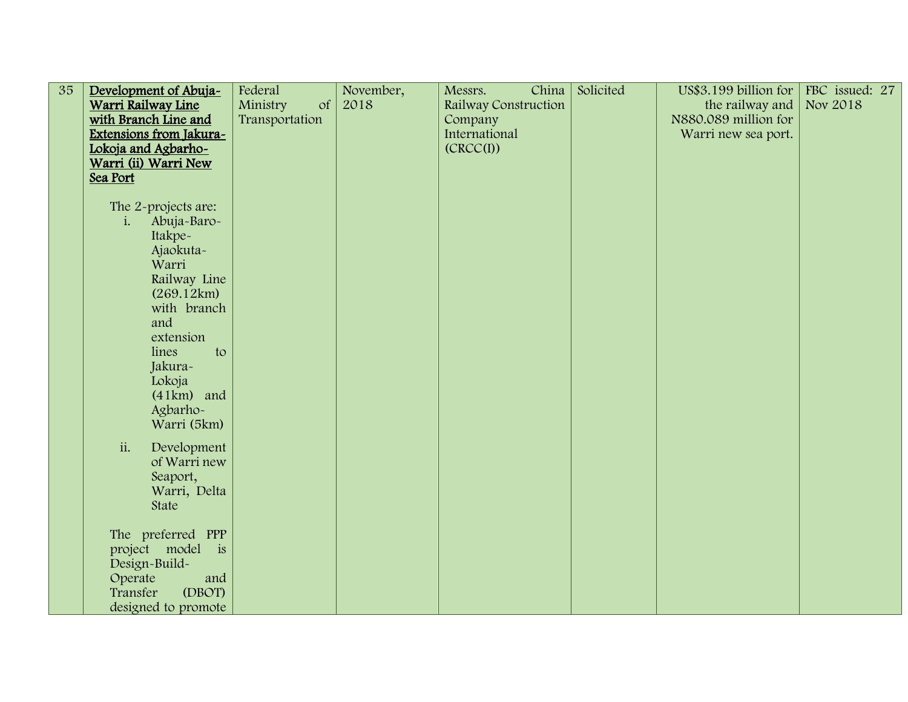| $\overline{35}$ | Development of Abuja-     | Federal        | November, | China<br>Messrs.     | Solicited | US\$3.199 billion for | FBC issued: 27 |
|-----------------|---------------------------|----------------|-----------|----------------------|-----------|-----------------------|----------------|
|                 | Warri Railway Line        | Ministry<br>of | 2018      | Railway Construction |           | the railway and       | Nov 2018       |
|                 | with Branch Line and      | Transportation |           | Company              |           | N880.089 million for  |                |
|                 | Extensions from Jakura-   |                |           | International        |           | Warri new sea port.   |                |
|                 | Lokoja and Agbarho-       |                |           | (CRCC(I))            |           |                       |                |
|                 | Warri (ii) Warri New      |                |           |                      |           |                       |                |
|                 | Sea Port                  |                |           |                      |           |                       |                |
|                 |                           |                |           |                      |           |                       |                |
|                 | The 2-projects are:       |                |           |                      |           |                       |                |
|                 | Abuja-Baro-<br>1.         |                |           |                      |           |                       |                |
|                 | Itakpe~                   |                |           |                      |           |                       |                |
|                 | Ajaokuta-<br>Warri        |                |           |                      |           |                       |                |
|                 |                           |                |           |                      |           |                       |                |
|                 | Railway Line              |                |           |                      |           |                       |                |
|                 | (269.12km)<br>with branch |                |           |                      |           |                       |                |
|                 | and                       |                |           |                      |           |                       |                |
|                 | extension                 |                |           |                      |           |                       |                |
|                 | lines<br>to               |                |           |                      |           |                       |                |
|                 | Jakura-                   |                |           |                      |           |                       |                |
|                 | Lokoja                    |                |           |                      |           |                       |                |
|                 | $(41km)$ and              |                |           |                      |           |                       |                |
|                 | Agbarho-                  |                |           |                      |           |                       |                |
|                 | Warri (5km)               |                |           |                      |           |                       |                |
|                 |                           |                |           |                      |           |                       |                |
|                 | ii.<br>Development        |                |           |                      |           |                       |                |
|                 | of Warri new              |                |           |                      |           |                       |                |
|                 | Seaport,                  |                |           |                      |           |                       |                |
|                 | Warri, Delta              |                |           |                      |           |                       |                |
|                 | State                     |                |           |                      |           |                       |                |
|                 |                           |                |           |                      |           |                       |                |
|                 | The preferred PPP         |                |           |                      |           |                       |                |
|                 | project model is          |                |           |                      |           |                       |                |
|                 | Design-Build-             |                |           |                      |           |                       |                |
|                 | Operate<br>and            |                |           |                      |           |                       |                |
|                 | (DBOT)<br>Transfer        |                |           |                      |           |                       |                |
|                 | designed to promote       |                |           |                      |           |                       |                |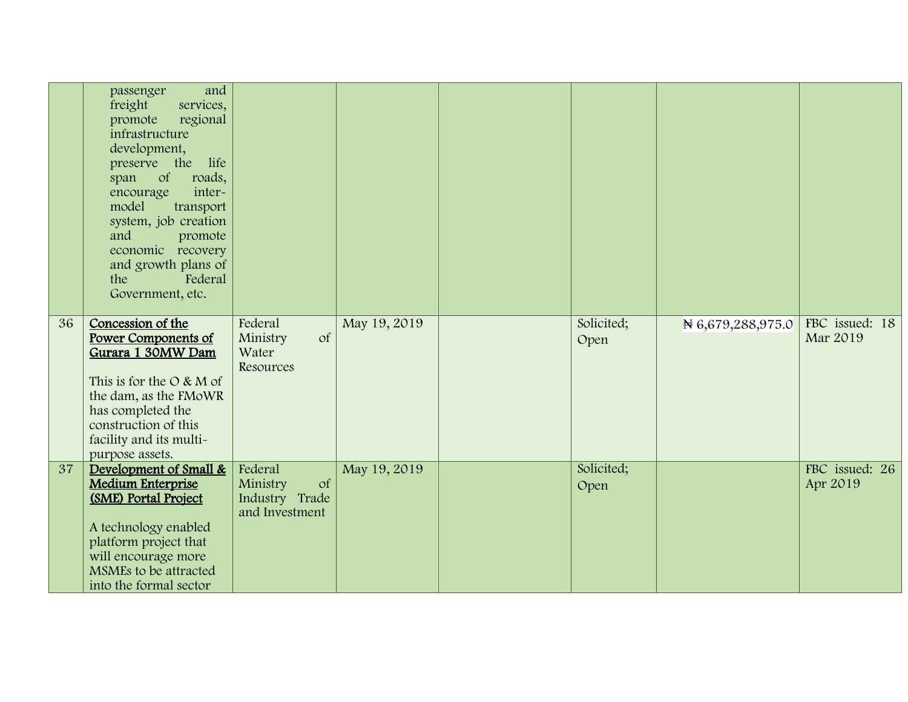|    | and<br>passenger<br>freight<br>services,<br>promote<br>regional<br>infrastructure<br>development,<br>preserve the life<br><sub>of</sub><br>roads,<br>span<br>inter-<br>encourage<br>model<br>transport<br>system, job creation<br>and<br>promote<br>economic recovery<br>and growth plans of<br>Federal<br>the<br>Government, etc. |                                                               |              |                    |                   |                            |
|----|------------------------------------------------------------------------------------------------------------------------------------------------------------------------------------------------------------------------------------------------------------------------------------------------------------------------------------|---------------------------------------------------------------|--------------|--------------------|-------------------|----------------------------|
| 36 | Concession of the<br><b>Power Components of</b><br>Gurara 1 30MW Dam<br>This is for the $O & M$ of<br>the dam, as the FMoWR<br>has completed the<br>construction of this<br>facility and its multi-<br>purpose assets.                                                                                                             | Federal<br>Ministry<br><b>of</b><br>Water<br>Resources        | May 19, 2019 | Solicited;<br>Open | N 6,679,288,975.0 | FBC issued: 18<br>Mar 2019 |
| 37 | Development of Small &<br><b>Medium Enterprise</b><br>(SME) Portal Project<br>A technology enabled<br>platform project that<br>will encourage more<br>MSMEs to be attracted<br>into the formal sector                                                                                                                              | Federal<br>Ministry<br>of<br>Industry Trade<br>and Investment | May 19, 2019 | Solicited;<br>Open |                   | FBC issued: 26<br>Apr 2019 |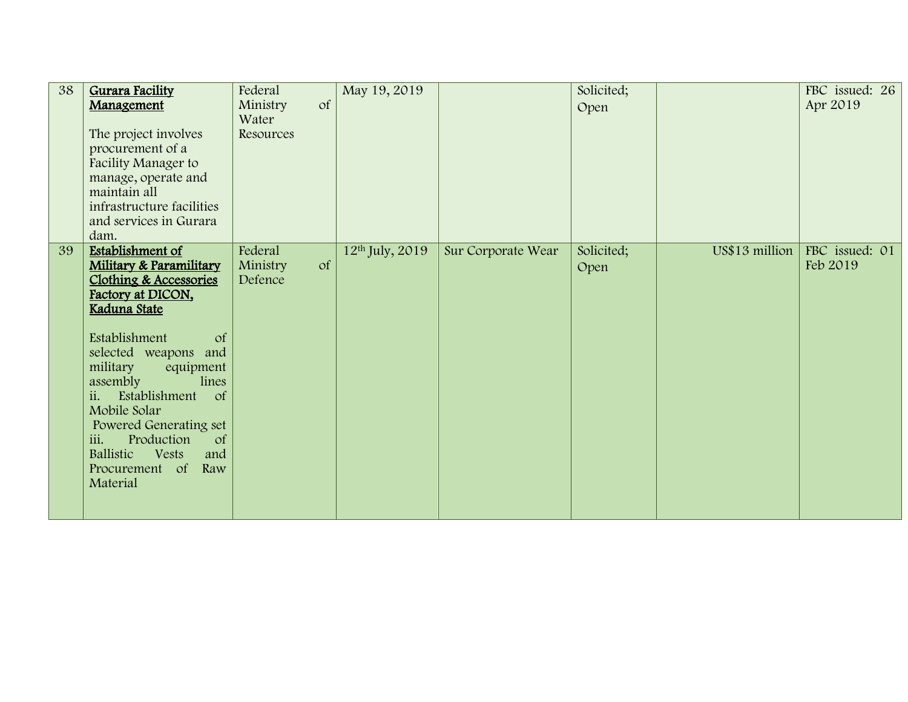| 38 | Gurara Facility<br>Management<br>The project involves<br>procurement of a<br>Facility Manager to<br>manage, operate and<br>maintain all                                                                                                                                                            | Federal<br>Ministry<br>of<br>Water<br>Resources | May 19, 2019        |                    | Solicited;<br>Open |                | FBC issued: 26<br>Apr 2019 |
|----|----------------------------------------------------------------------------------------------------------------------------------------------------------------------------------------------------------------------------------------------------------------------------------------------------|-------------------------------------------------|---------------------|--------------------|--------------------|----------------|----------------------------|
|    | infrastructure facilities<br>and services in Gurara<br>dam.                                                                                                                                                                                                                                        |                                                 |                     |                    |                    |                |                            |
| 39 | <b>Establishment of</b><br>Military & Paramilitary<br>Clothing & Accessories<br>Factory at DICON,<br>Kaduna State                                                                                                                                                                                  | Federal<br>Ministry<br>$\sigma$ f<br>Defence    | $12th$ July, $2019$ | Sur Corporate Wear | Solicited;<br>Open | US\$13 million | FBC issued: 01<br>Feb 2019 |
|    | Establishment<br>$\circ$ f<br>selected weapons and<br>military<br>equipment<br>lines<br>assembly<br>ii.<br>Establishment<br>$\circ$ f<br>Mobile Solar<br><b>Powered Generating set</b><br>iii.<br>Production<br>$\circ$ f<br>Ballistic<br><b>Vests</b><br>and<br>Procurement of<br>Raw<br>Material |                                                 |                     |                    |                    |                |                            |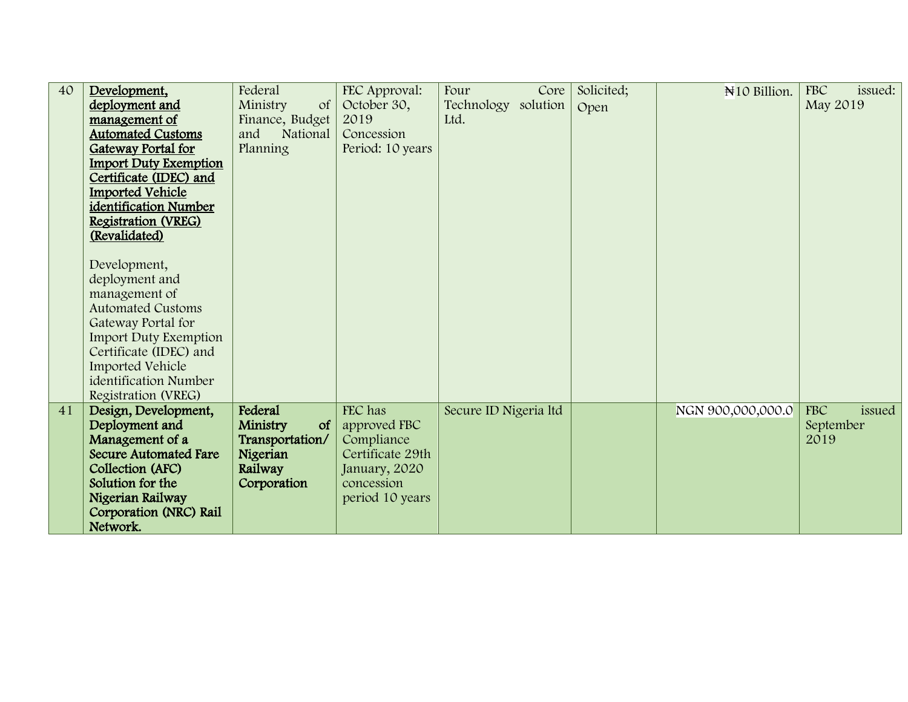| 40 | Development,                 | Federal               | FEC Approval:    | Four<br>Core          | Solicited; | N <sub>10</sub> Billion. | <b>FBC</b><br>issued: |
|----|------------------------------|-----------------------|------------------|-----------------------|------------|--------------------------|-----------------------|
|    | deployment and               | Ministry<br>$\circ$ f | October 30,      | Technology solution   | Open       |                          | May 2019              |
|    | management of                | Finance, Budget       | 2019             | Ltd.                  |            |                          |                       |
|    | <b>Automated Customs</b>     | and<br>National       | Concession       |                       |            |                          |                       |
|    | <b>Gateway Portal for</b>    | Planning              | Period: 10 years |                       |            |                          |                       |
|    | <b>Import Duty Exemption</b> |                       |                  |                       |            |                          |                       |
|    | Certificate (IDEC) and       |                       |                  |                       |            |                          |                       |
|    | <b>Imported Vehicle</b>      |                       |                  |                       |            |                          |                       |
|    | identification Number        |                       |                  |                       |            |                          |                       |
|    | Registration (VREG)          |                       |                  |                       |            |                          |                       |
|    | (Revalidated)                |                       |                  |                       |            |                          |                       |
|    |                              |                       |                  |                       |            |                          |                       |
|    | Development,                 |                       |                  |                       |            |                          |                       |
|    | deployment and               |                       |                  |                       |            |                          |                       |
|    | management of                |                       |                  |                       |            |                          |                       |
|    | <b>Automated Customs</b>     |                       |                  |                       |            |                          |                       |
|    | Gateway Portal for           |                       |                  |                       |            |                          |                       |
|    | <b>Import Duty Exemption</b> |                       |                  |                       |            |                          |                       |
|    | Certificate (IDEC) and       |                       |                  |                       |            |                          |                       |
|    | Imported Vehicle             |                       |                  |                       |            |                          |                       |
|    | identification Number        |                       |                  |                       |            |                          |                       |
|    | Registration (VREG)          |                       |                  |                       |            |                          |                       |
| 41 | Design, Development,         | Federal               | FEC has          | Secure ID Nigeria ltd |            | NGN 900,000,000.0        | <b>FBC</b><br>issued  |
|    | Deployment and               | Ministry<br>$\circ$ f | approved FBC     |                       |            |                          | September             |
|    | Management of a              | Transportation/       | Compliance       |                       |            |                          | 2019                  |
|    | <b>Secure Automated Fare</b> | Nigerian              | Certificate 29th |                       |            |                          |                       |
|    | Collection (AFC)             | Railway               | January, 2020    |                       |            |                          |                       |
|    | Solution for the             | Corporation           | concession       |                       |            |                          |                       |
|    | Nigerian Railway             |                       | period 10 years  |                       |            |                          |                       |
|    | Corporation (NRC) Rail       |                       |                  |                       |            |                          |                       |
|    | Network.                     |                       |                  |                       |            |                          |                       |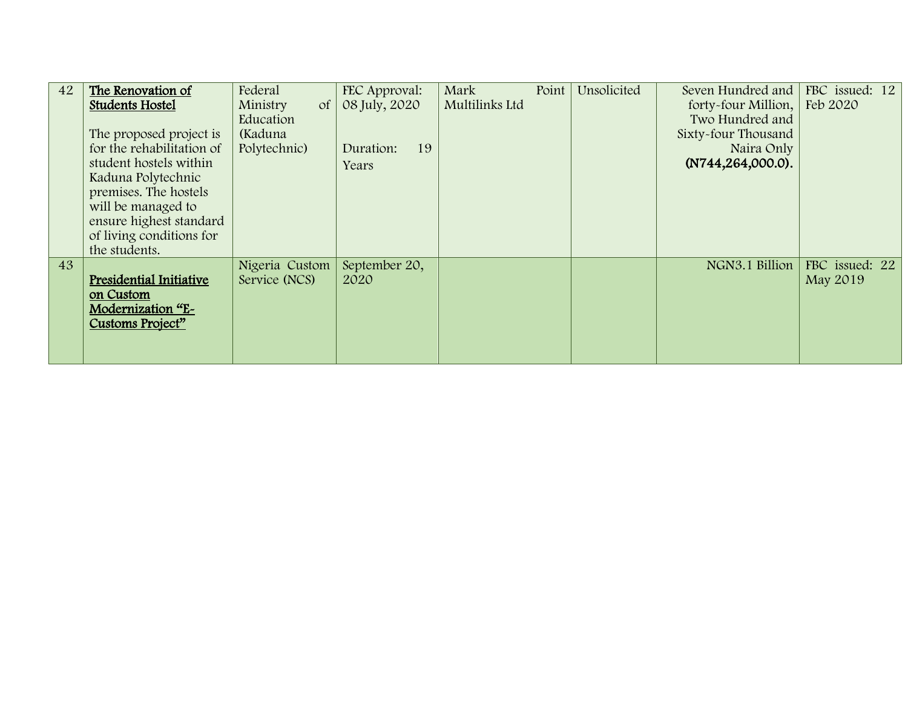| 42 | The Renovation of         | Federal                | FEC Approval:   | Mark           | Point | Unsolicited | Seven Hundred and              | FBC issued: 12 |
|----|---------------------------|------------------------|-----------------|----------------|-------|-------------|--------------------------------|----------------|
|    | <b>Students Hostel</b>    | Ministry<br>$\sigma f$ | 08 July, 2020   | Multilinks Ltd |       |             | forty-four Million,   Feb 2020 |                |
|    |                           | Education              |                 |                |       |             | Two Hundred and                |                |
|    | The proposed project is   | (Kaduna                |                 |                |       |             | Sixty-four Thousand            |                |
|    | for the rehabilitation of | Polytechnic)           | 19<br>Duration: |                |       |             | Naira Only                     |                |
|    | student hostels within    |                        | Years           |                |       |             | $(N744, 264, 000.0)$ .         |                |
|    | Kaduna Polytechnic        |                        |                 |                |       |             |                                |                |
|    | premises. The hostels     |                        |                 |                |       |             |                                |                |
|    | will be managed to        |                        |                 |                |       |             |                                |                |
|    | ensure highest standard   |                        |                 |                |       |             |                                |                |
|    | of living conditions for  |                        |                 |                |       |             |                                |                |
|    | the students.             |                        |                 |                |       |             |                                |                |
| 43 |                           | Nigeria Custom         | September 20,   |                |       |             | NGN3.1 Billion                 | FBC issued: 22 |
|    | Presidential Initiative   | Service (NCS)          | 2020            |                |       |             |                                | May 2019       |
|    | on Custom                 |                        |                 |                |       |             |                                |                |
|    | Modernization "E-         |                        |                 |                |       |             |                                |                |
|    | Customs Project"          |                        |                 |                |       |             |                                |                |
|    |                           |                        |                 |                |       |             |                                |                |
|    |                           |                        |                 |                |       |             |                                |                |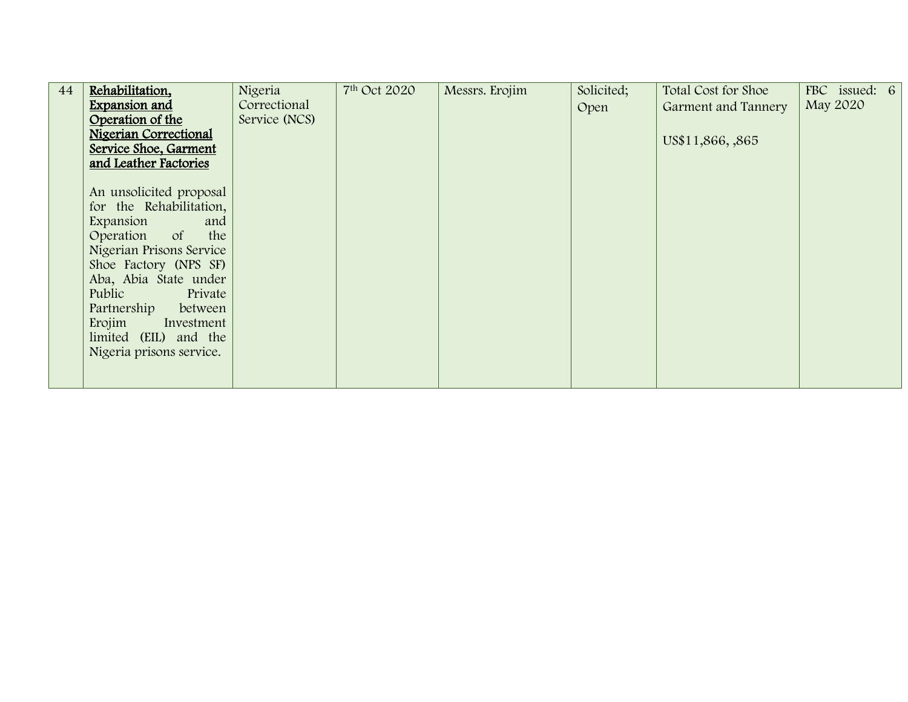| 44 | Rehabilitation,              | Nigeria       | 7 <sup>th</sup> Oct 2020 | Messrs. Erojim | Solicited; | Total Cost for Shoe | FBC issued: 6 |  |
|----|------------------------------|---------------|--------------------------|----------------|------------|---------------------|---------------|--|
|    | <b>Expansion and</b>         | Correctional  |                          |                | Open       | Garment and Tannery | May 2020      |  |
|    | Operation of the             | Service (NCS) |                          |                |            |                     |               |  |
|    | <b>Nigerian Correctional</b> |               |                          |                |            | US\$11,866, ,865    |               |  |
|    | Service Shoe, Garment        |               |                          |                |            |                     |               |  |
|    | and Leather Factories        |               |                          |                |            |                     |               |  |
|    |                              |               |                          |                |            |                     |               |  |
|    | An unsolicited proposal      |               |                          |                |            |                     |               |  |
|    | for the Rehabilitation,      |               |                          |                |            |                     |               |  |
|    | Expansion<br>and             |               |                          |                |            |                     |               |  |
|    | Operation of<br>the          |               |                          |                |            |                     |               |  |
|    | Nigerian Prisons Service     |               |                          |                |            |                     |               |  |
|    | Shoe Factory (NPS SF)        |               |                          |                |            |                     |               |  |
|    | Aba, Abia State under        |               |                          |                |            |                     |               |  |
|    | Public<br>Private            |               |                          |                |            |                     |               |  |
|    | Partnership<br>between       |               |                          |                |            |                     |               |  |
|    | Erojim<br>Investment         |               |                          |                |            |                     |               |  |
|    | limited (EIL) and the        |               |                          |                |            |                     |               |  |
|    | Nigeria prisons service.     |               |                          |                |            |                     |               |  |
|    |                              |               |                          |                |            |                     |               |  |
|    |                              |               |                          |                |            |                     |               |  |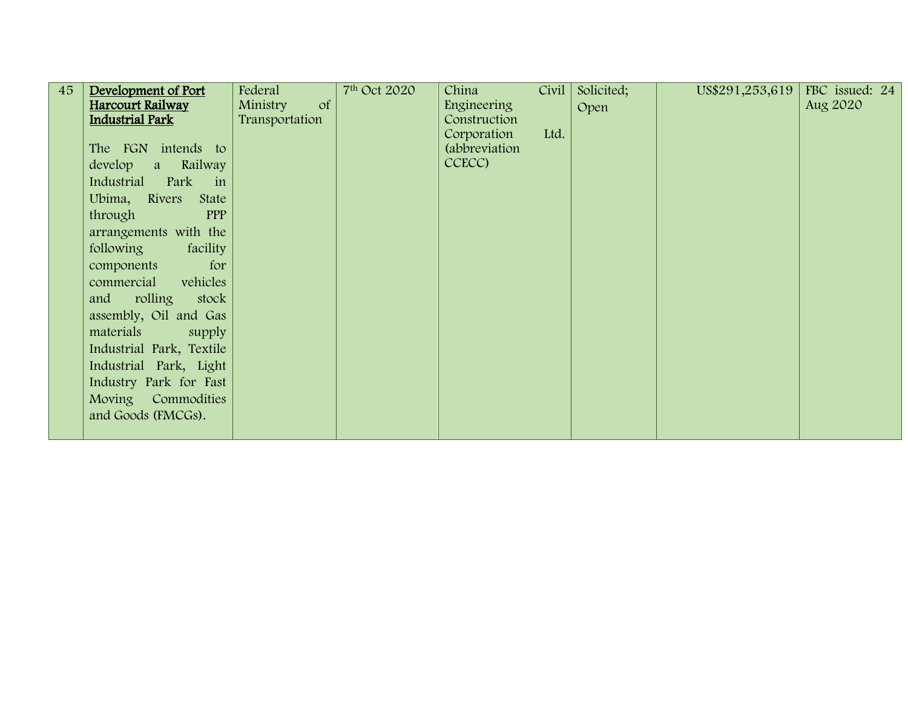| 45 | Development of Port      | Federal               | 7 <sup>th</sup> Oct 2020 | China         | Civil | Solicited; | US\$291,253,619 | FBC issued: 24 |
|----|--------------------------|-----------------------|--------------------------|---------------|-------|------------|-----------------|----------------|
|    | Harcourt Railway         | Ministry<br>$\circ$ f |                          | Engineering   |       | Open       |                 | Aug 2020       |
|    | <b>Industrial Park</b>   | Transportation        |                          | Construction  |       |            |                 |                |
|    |                          |                       |                          | Corporation   | Ltd.  |            |                 |                |
|    | The FGN intends to       |                       |                          | (abbreviation |       |            |                 |                |
|    | develop<br>a Railway     |                       |                          | CCECC)        |       |            |                 |                |
|    | Industrial Park in       |                       |                          |               |       |            |                 |                |
|    | Ubima, Rivers<br>State   |                       |                          |               |       |            |                 |                |
|    | PPP<br>through           |                       |                          |               |       |            |                 |                |
|    | arrangements with the    |                       |                          |               |       |            |                 |                |
|    | following<br>facility    |                       |                          |               |       |            |                 |                |
|    | for<br>components        |                       |                          |               |       |            |                 |                |
|    | commercial<br>vehicles   |                       |                          |               |       |            |                 |                |
|    | rolling<br>and<br>stock  |                       |                          |               |       |            |                 |                |
|    | assembly, Oil and Gas    |                       |                          |               |       |            |                 |                |
|    | materials<br>supply      |                       |                          |               |       |            |                 |                |
|    | Industrial Park, Textile |                       |                          |               |       |            |                 |                |
|    | Industrial Park, Light   |                       |                          |               |       |            |                 |                |
|    | Industry Park for Fast   |                       |                          |               |       |            |                 |                |
|    | Moving Commodities       |                       |                          |               |       |            |                 |                |
|    | and Goods (FMCGs).       |                       |                          |               |       |            |                 |                |
|    |                          |                       |                          |               |       |            |                 |                |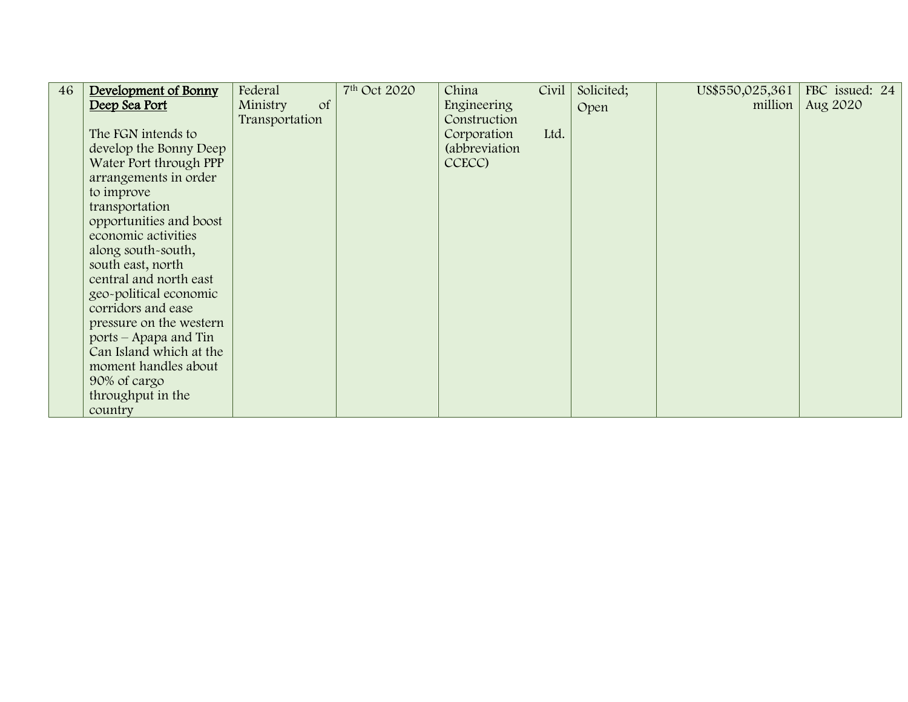| 46 | Development of Bonny    | Federal        | 7 <sup>th</sup> Oct 2020 | China         | Civil | Solicited; | US\$550,025,361 | FBC issued: 24 |
|----|-------------------------|----------------|--------------------------|---------------|-------|------------|-----------------|----------------|
|    | Deep Sea Port           | of<br>Ministry |                          | Engineering   |       | Open       | million         | Aug 2020       |
|    |                         | Transportation |                          | Construction  |       |            |                 |                |
|    | The FGN intends to      |                |                          | Corporation   | Ltd.  |            |                 |                |
|    | develop the Bonny Deep  |                |                          | (abbreviation |       |            |                 |                |
|    | Water Port through PPP  |                |                          | CCECC)        |       |            |                 |                |
|    | arrangements in order   |                |                          |               |       |            |                 |                |
|    | to improve              |                |                          |               |       |            |                 |                |
|    | transportation          |                |                          |               |       |            |                 |                |
|    | opportunities and boost |                |                          |               |       |            |                 |                |
|    | economic activities     |                |                          |               |       |            |                 |                |
|    | along south-south,      |                |                          |               |       |            |                 |                |
|    | south east, north       |                |                          |               |       |            |                 |                |
|    | central and north east  |                |                          |               |       |            |                 |                |
|    | geo-political economic  |                |                          |               |       |            |                 |                |
|    | corridors and ease      |                |                          |               |       |            |                 |                |
|    | pressure on the western |                |                          |               |       |            |                 |                |
|    | ports – Apapa and Tin   |                |                          |               |       |            |                 |                |
|    | Can Island which at the |                |                          |               |       |            |                 |                |
|    | moment handles about    |                |                          |               |       |            |                 |                |
|    | 90% of cargo            |                |                          |               |       |            |                 |                |
|    | throughput in the       |                |                          |               |       |            |                 |                |
|    | country                 |                |                          |               |       |            |                 |                |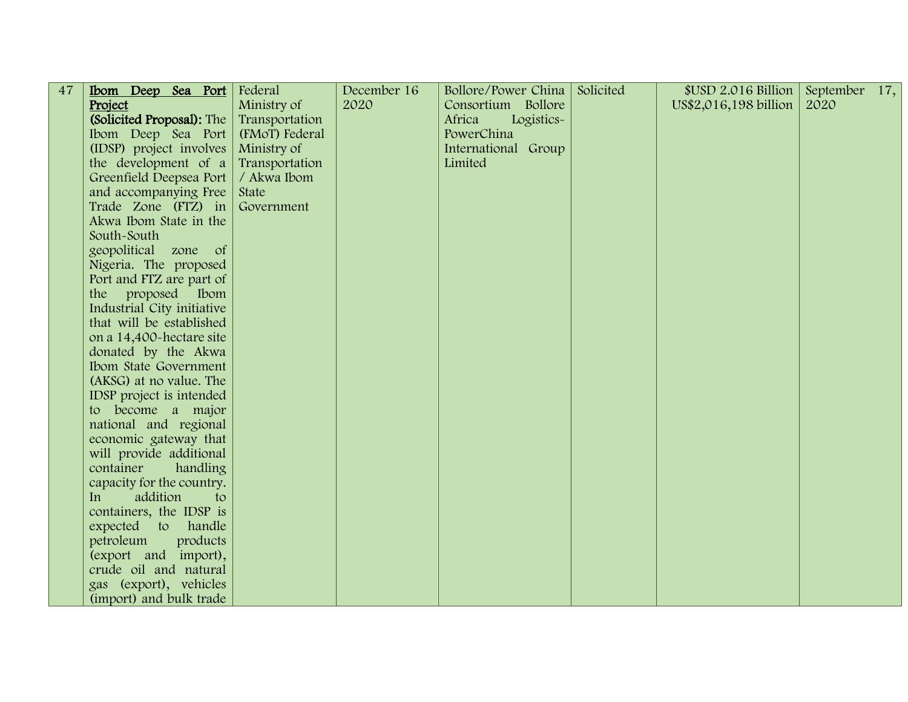| 47 | Ibom Deep Sea Port         | Federal        | December 16 | Bollore/Power China  | Solicited | $$USD 2.016$ Billion  | September 17, |  |
|----|----------------------------|----------------|-------------|----------------------|-----------|-----------------------|---------------|--|
|    | Project                    | Ministry of    | 2020        | Consortium Bollore   |           | US\$2,016,198 billion | 2020          |  |
|    | (Solicited Proposal): The  | Transportation |             | Africa<br>Logistics- |           |                       |               |  |
|    | Ibom Deep Sea Port         | (FMoT) Federal |             | PowerChina           |           |                       |               |  |
|    | (IDSP) project involves    | Ministry of    |             | International Group  |           |                       |               |  |
|    | the development of a       | Transportation |             | Limited              |           |                       |               |  |
|    | Greenfield Deepsea Port    | / Akwa Ibom    |             |                      |           |                       |               |  |
|    | and accompanying Free      | State          |             |                      |           |                       |               |  |
|    | Trade Zone (FTZ) in        | Government     |             |                      |           |                       |               |  |
|    | Akwa Ibom State in the     |                |             |                      |           |                       |               |  |
|    | South-South                |                |             |                      |           |                       |               |  |
|    | geopolitical zone of       |                |             |                      |           |                       |               |  |
|    | Nigeria. The proposed      |                |             |                      |           |                       |               |  |
|    | Port and FTZ are part of   |                |             |                      |           |                       |               |  |
|    | proposed<br>Ibom<br>the    |                |             |                      |           |                       |               |  |
|    | Industrial City initiative |                |             |                      |           |                       |               |  |
|    | that will be established   |                |             |                      |           |                       |               |  |
|    | on a 14,400-hectare site   |                |             |                      |           |                       |               |  |
|    | donated by the Akwa        |                |             |                      |           |                       |               |  |
|    | Ibom State Government      |                |             |                      |           |                       |               |  |
|    | (AKSG) at no value. The    |                |             |                      |           |                       |               |  |
|    | IDSP project is intended   |                |             |                      |           |                       |               |  |
|    | to become a major          |                |             |                      |           |                       |               |  |
|    | national and regional      |                |             |                      |           |                       |               |  |
|    | economic gateway that      |                |             |                      |           |                       |               |  |
|    | will provide additional    |                |             |                      |           |                       |               |  |
|    | container<br>handling      |                |             |                      |           |                       |               |  |
|    | capacity for the country.  |                |             |                      |           |                       |               |  |
|    | addition<br>to<br>In       |                |             |                      |           |                       |               |  |
|    | containers, the IDSP is    |                |             |                      |           |                       |               |  |
|    | expected to handle         |                |             |                      |           |                       |               |  |
|    | petroleum<br>products      |                |             |                      |           |                       |               |  |
|    | (export and import),       |                |             |                      |           |                       |               |  |
|    | crude oil and natural      |                |             |                      |           |                       |               |  |
|    | gas (export), vehicles     |                |             |                      |           |                       |               |  |
|    | (import) and bulk trade    |                |             |                      |           |                       |               |  |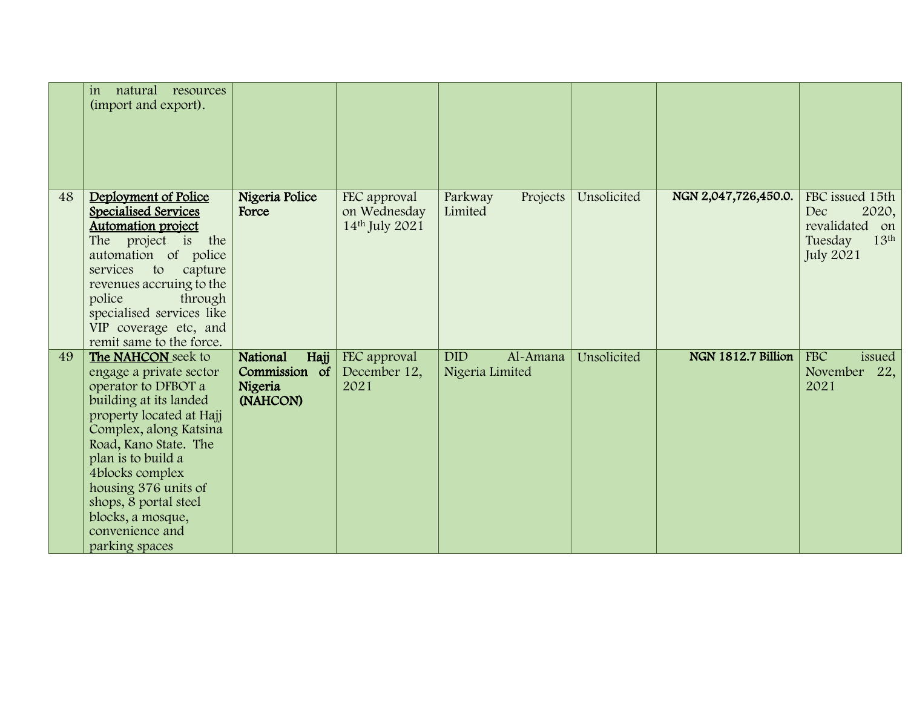|    | natural<br>resources<br>in<br>(import and export).                                                                                                                                                                                                                                                                                |                                                          |                                                |                                           |             |                      |                                                                                                      |
|----|-----------------------------------------------------------------------------------------------------------------------------------------------------------------------------------------------------------------------------------------------------------------------------------------------------------------------------------|----------------------------------------------------------|------------------------------------------------|-------------------------------------------|-------------|----------------------|------------------------------------------------------------------------------------------------------|
| 48 | Deployment of Police<br>Specialised Services<br><b>Automation project</b><br>The project is the<br>automation of police<br>services<br>to<br>capture<br>revenues accruing to the<br>police<br>through<br>specialised services like<br>VIP coverage etc, and<br>remit same to the force.                                           | Nigeria Police<br>Force                                  | FEC approval<br>on Wednesday<br>14th July 2021 | Projects<br>Parkway<br>Limited            | Unsolicited | NGN 2,047,726,450.0. | FBC issued 15th<br>Dec<br>2020,<br>revalidated on<br>13 <sup>th</sup><br>Tuesday<br><b>July 2021</b> |
| 49 | The NAHCON seek to<br>engage a private sector<br>operator to DFBOT a<br>building at its landed<br>property located at Hajj<br>Complex, along Katsina<br>Road, Kano State. The<br>plan is to build a<br>4blocks complex<br>housing 376 units of<br>shops, 8 portal steel<br>blocks, a mosque,<br>convenience and<br>parking spaces | National<br>Hajj<br>Commission of<br>Nigeria<br>(NAHCON) | FEC approval<br>December 12,<br>2021           | <b>DID</b><br>Al-Amana<br>Nigeria Limited | Unsolicited | NGN 1812.7 Billion   | <b>FBC</b><br>issued<br>November<br>22,<br>2021                                                      |